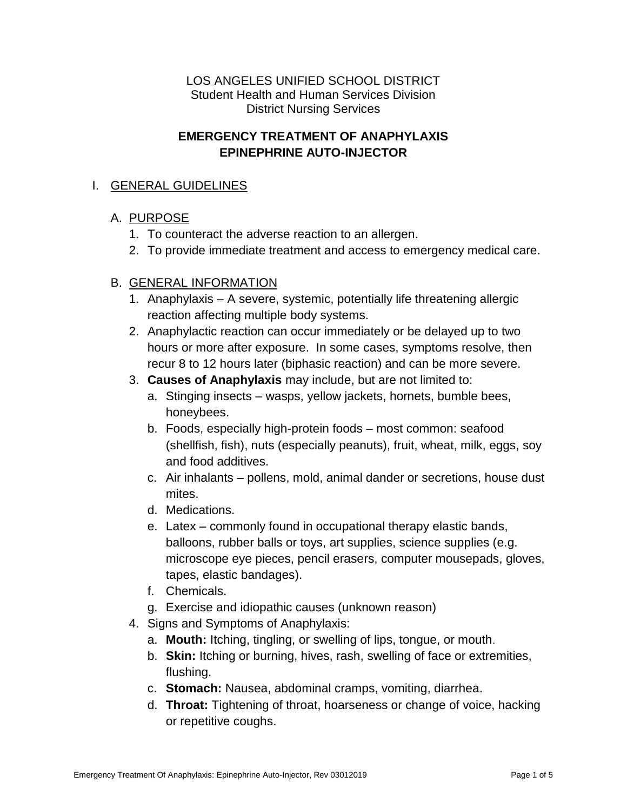LOS ANGELES UNIFIED SCHOOL DISTRICT Student Health and Human Services Division District Nursing Services

#### **EMERGENCY TREATMENT OF ANAPHYLAXIS EPINEPHRINE AUTO-INJECTOR**

#### I. GENERAL GUIDELINES

### A. PURPOSE

- 1. To counteract the adverse reaction to an allergen.
- 2. To provide immediate treatment and access to emergency medical care.

### B. GENERAL INFORMATION

- 1. Anaphylaxis A severe, systemic, potentially life threatening allergic reaction affecting multiple body systems.
- 2. Anaphylactic reaction can occur immediately or be delayed up to two hours or more after exposure. In some cases, symptoms resolve, then recur 8 to 12 hours later (biphasic reaction) and can be more severe.
- 3. **Causes of Anaphylaxis** may include, but are not limited to:
	- a. Stinging insects wasps, yellow jackets, hornets, bumble bees, honeybees.
	- b. Foods, especially high-protein foods most common: seafood (shellfish, fish), nuts (especially peanuts), fruit, wheat, milk, eggs, soy and food additives.
	- c. Air inhalants pollens, mold, animal dander or secretions, house dust mites.
	- d. Medications.
	- e. Latex commonly found in occupational therapy elastic bands, balloons, rubber balls or toys, art supplies, science supplies (e.g. microscope eye pieces, pencil erasers, computer mousepads, gloves, tapes, elastic bandages).
	- f. Chemicals.
	- g. Exercise and idiopathic causes (unknown reason)
- 4. Signs and Symptoms of Anaphylaxis:
	- a. **Mouth:** Itching, tingling, or swelling of lips, tongue, or mouth.
	- b. **Skin:** Itching or burning, hives, rash, swelling of face or extremities, flushing.
	- c. **Stomach:** Nausea, abdominal cramps, vomiting, diarrhea.
	- d. **Throat:** Tightening of throat, hoarseness or change of voice, hacking or repetitive coughs.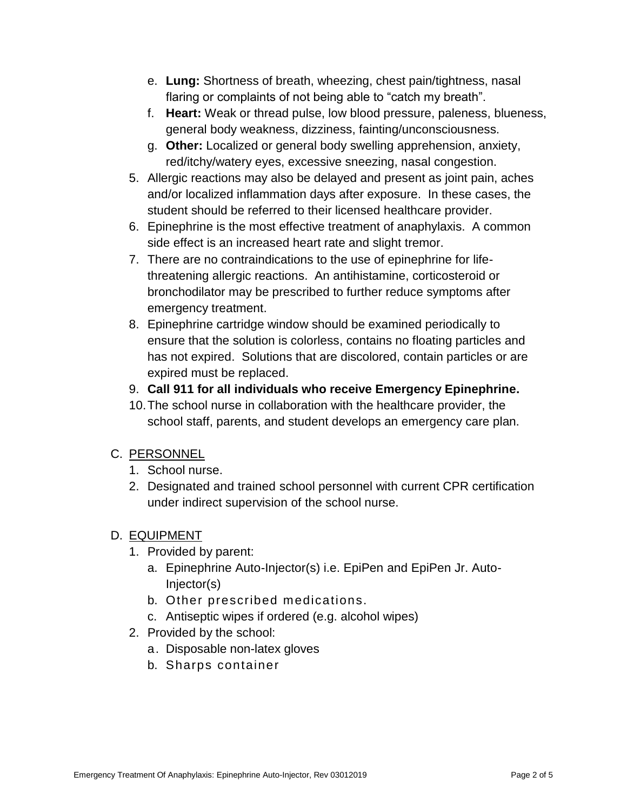- e. **Lung:** Shortness of breath, wheezing, chest pain/tightness, nasal flaring or complaints of not being able to "catch my breath".
- f. **Heart:** Weak or thread pulse, low blood pressure, paleness, blueness, general body weakness, dizziness, fainting/unconsciousness.
- g. **Other:** Localized or general body swelling apprehension, anxiety, red/itchy/watery eyes, excessive sneezing, nasal congestion.
- 5. Allergic reactions may also be delayed and present as joint pain, aches and/or localized inflammation days after exposure. In these cases, the student should be referred to their licensed healthcare provider.
- 6. Epinephrine is the most effective treatment of anaphylaxis. A common side effect is an increased heart rate and slight tremor.
- 7. There are no contraindications to the use of epinephrine for lifethreatening allergic reactions. An antihistamine, corticosteroid or bronchodilator may be prescribed to further reduce symptoms after emergency treatment.
- 8. Epinephrine cartridge window should be examined periodically to ensure that the solution is colorless, contains no floating particles and has not expired. Solutions that are discolored, contain particles or are expired must be replaced.
- 9. **Call 911 for all individuals who receive Emergency Epinephrine.**
- 10.The school nurse in collaboration with the healthcare provider, the school staff, parents, and student develops an emergency care plan.

# C. PERSONNEL

- 1. School nurse.
- 2. Designated and trained school personnel with current CPR certification under indirect supervision of the school nurse.

# D. EQUIPMENT

- 1. Provided by parent:
	- a. Epinephrine Auto-Injector(s) i.e. EpiPen and EpiPen Jr. Auto-Injector(s)
	- b. Other prescribed medications.
	- c. Antiseptic wipes if ordered (e.g. alcohol wipes)
- 2. Provided by the school:
	- a. Disposable non-latex gloves
	- b. Sharps container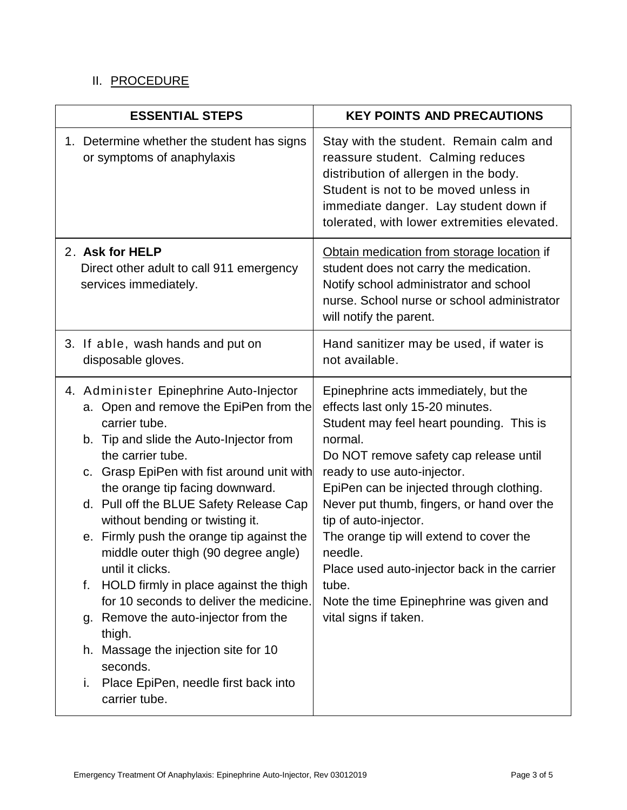# II. PROCEDURE

| <b>ESSENTIAL STEPS</b>                                                                                                                                                                                                                                                                                                                                                                                                                                                                                                                                                                                                                                                                                           | <b>KEY POINTS AND PRECAUTIONS</b>                                                                                                                                                                                                                                                                                                                                                                                                                                                                               |
|------------------------------------------------------------------------------------------------------------------------------------------------------------------------------------------------------------------------------------------------------------------------------------------------------------------------------------------------------------------------------------------------------------------------------------------------------------------------------------------------------------------------------------------------------------------------------------------------------------------------------------------------------------------------------------------------------------------|-----------------------------------------------------------------------------------------------------------------------------------------------------------------------------------------------------------------------------------------------------------------------------------------------------------------------------------------------------------------------------------------------------------------------------------------------------------------------------------------------------------------|
| 1. Determine whether the student has signs<br>or symptoms of anaphylaxis                                                                                                                                                                                                                                                                                                                                                                                                                                                                                                                                                                                                                                         | Stay with the student. Remain calm and<br>reassure student. Calming reduces<br>distribution of allergen in the body.<br>Student is not to be moved unless in<br>immediate danger. Lay student down if<br>tolerated, with lower extremities elevated.                                                                                                                                                                                                                                                            |
| 2. Ask for HELP<br>Direct other adult to call 911 emergency<br>services immediately.                                                                                                                                                                                                                                                                                                                                                                                                                                                                                                                                                                                                                             | Obtain medication from storage location if<br>student does not carry the medication.<br>Notify school administrator and school<br>nurse. School nurse or school administrator<br>will notify the parent.                                                                                                                                                                                                                                                                                                        |
| 3. If able, wash hands and put on<br>disposable gloves.                                                                                                                                                                                                                                                                                                                                                                                                                                                                                                                                                                                                                                                          | Hand sanitizer may be used, if water is<br>not available.                                                                                                                                                                                                                                                                                                                                                                                                                                                       |
| 4. Administer Epinephrine Auto-Injector<br>a. Open and remove the EpiPen from the<br>carrier tube.<br>b. Tip and slide the Auto-Injector from<br>the carrier tube.<br>c. Grasp EpiPen with fist around unit with<br>the orange tip facing downward.<br>d. Pull off the BLUE Safety Release Cap<br>without bending or twisting it.<br>e. Firmly push the orange tip against the<br>middle outer thigh (90 degree angle)<br>until it clicks.<br>HOLD firmly in place against the thigh<br>f.<br>for 10 seconds to deliver the medicine.<br>Remove the auto-injector from the<br>g.<br>thigh.<br>Massage the injection site for 10<br>h.<br>seconds.<br>Place EpiPen, needle first back into<br>i.<br>carrier tube. | Epinephrine acts immediately, but the<br>effects last only 15-20 minutes.<br>Student may feel heart pounding. This is<br>normal.<br>Do NOT remove safety cap release until<br>ready to use auto-injector.<br>EpiPen can be injected through clothing.<br>Never put thumb, fingers, or hand over the<br>tip of auto-injector.<br>The orange tip will extend to cover the<br>needle.<br>Place used auto-injector back in the carrier<br>tube.<br>Note the time Epinephrine was given and<br>vital signs if taken. |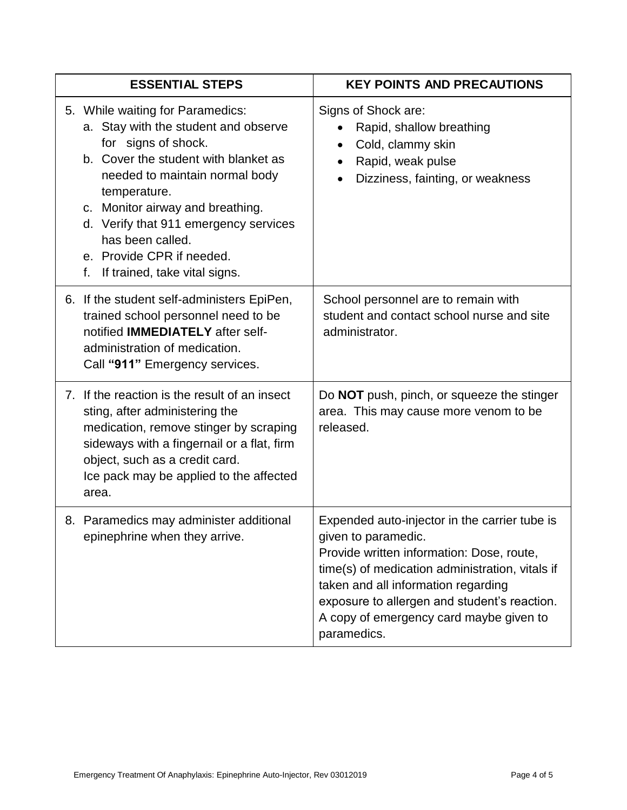| <b>ESSENTIAL STEPS</b>                                                                                                                                                                                                                                                                                                                                         | <b>KEY POINTS AND PRECAUTIONS</b>                                                                                                                                                                                                                                                                                     |
|----------------------------------------------------------------------------------------------------------------------------------------------------------------------------------------------------------------------------------------------------------------------------------------------------------------------------------------------------------------|-----------------------------------------------------------------------------------------------------------------------------------------------------------------------------------------------------------------------------------------------------------------------------------------------------------------------|
| 5. While waiting for Paramedics:<br>a. Stay with the student and observe<br>for signs of shock.<br>b. Cover the student with blanket as<br>needed to maintain normal body<br>temperature.<br>c. Monitor airway and breathing.<br>d. Verify that 911 emergency services<br>has been called.<br>e. Provide CPR if needed.<br>f.<br>If trained, take vital signs. | Signs of Shock are:<br>Rapid, shallow breathing<br>Cold, clammy skin<br>$\bullet$<br>Rapid, weak pulse<br>$\bullet$<br>Dizziness, fainting, or weakness                                                                                                                                                               |
| 6. If the student self-administers EpiPen,<br>trained school personnel need to be<br>notified <b>IMMEDIATELY</b> after self-<br>administration of medication.<br>Call "911" Emergency services.                                                                                                                                                                | School personnel are to remain with<br>student and contact school nurse and site<br>administrator.                                                                                                                                                                                                                    |
| 7. If the reaction is the result of an insect<br>sting, after administering the<br>medication, remove stinger by scraping<br>sideways with a fingernail or a flat, firm<br>object, such as a credit card.<br>Ice pack may be applied to the affected<br>area.                                                                                                  | Do NOT push, pinch, or squeeze the stinger<br>area. This may cause more venom to be<br>released.                                                                                                                                                                                                                      |
| 8. Paramedics may administer additional<br>epinephrine when they arrive.                                                                                                                                                                                                                                                                                       | Expended auto-injector in the carrier tube is<br>given to paramedic.<br>Provide written information: Dose, route,<br>time(s) of medication administration, vitals if<br>taken and all information regarding<br>exposure to allergen and student's reaction.<br>A copy of emergency card maybe given to<br>paramedics. |